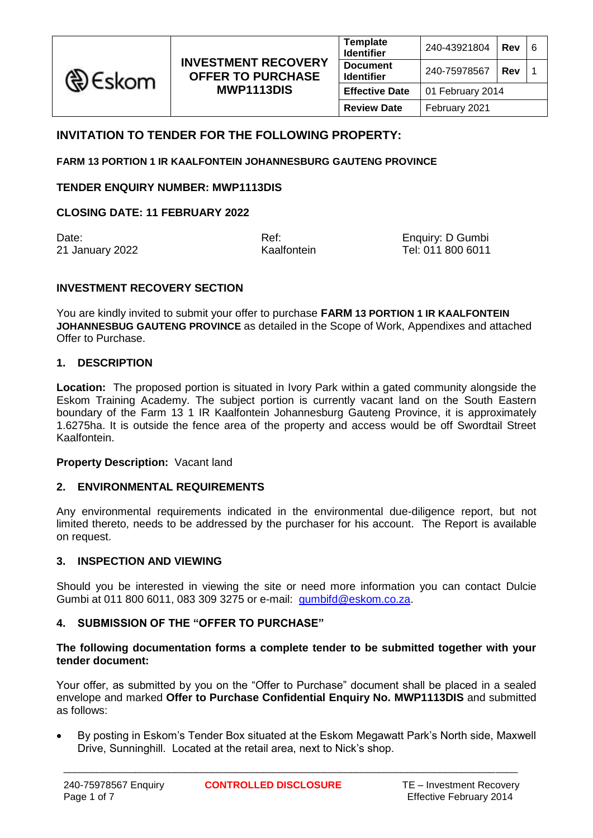

|    | <b>Template</b><br>Identifier        | 240-43921804     | Rev | 6 |
|----|--------------------------------------|------------------|-----|---|
| ١Y | <b>Document</b><br><b>Identifier</b> | 240-75978567     | Rev |   |
|    | <b>Effective Date</b>                | 01 February 2014 |     |   |
|    | <b>Review Date</b>                   | February 2021    |     |   |

# **INVITATION TO TENDER FOR THE FOLLOWING PROPERTY:**

**FARM 13 PORTION 1 IR KAALFONTEIN JOHANNESBURG GAUTENG PROVINCE**

**TENDER ENQUIRY NUMBER: MWP1113DIS**

**CLOSING DATE: 11 FEBRUARY 2022**

21 January 2022 Kaalfontein

Date: Date: Computer Contract Computer Contract Computer Computer Computer Computer Computer Computer Computer<br>
Partners and Computer Computer Computer Computer Computer Computer Computer Computer Computer Computer Comput<br>

### **INVESTMENT RECOVERY SECTION**

You are kindly invited to submit your offer to purchase **FARM 13 PORTION 1 IR KAALFONTEIN JOHANNESBUG GAUTENG PROVINCE** as detailed in the Scope of Work, Appendixes and attached Offer to Purchase.

#### **1. DESCRIPTION**

**Location:** The proposed portion is situated in Ivory Park within a gated community alongside the Eskom Training Academy. The subject portion is currently vacant land on the South Eastern boundary of the Farm 13 1 IR Kaalfontein Johannesburg Gauteng Province, it is approximately 1.6275ha. It is outside the fence area of the property and access would be off Swordtail Street Kaalfontein.

#### **Property Description:** Vacant land

### **2. ENVIRONMENTAL REQUIREMENTS**

Any environmental requirements indicated in the environmental due-diligence report, but not limited thereto, needs to be addressed by the purchaser for his account. The Report is available on request.

# **3. INSPECTION AND VIEWING**

Should you be interested in viewing the site or need more information you can contact Dulcie Gumbi at 011 800 6011, 083 309 3275 or e-mail: [gumbifd@eskom.co.za.](mailto:gumbifd@eskom.co.za)

### **4. SUBMISSION OF THE "OFFER TO PURCHASE"**

#### **The following documentation forms a complete tender to be submitted together with your tender document:**

Your offer, as submitted by you on the "Offer to Purchase" document shall be placed in a sealed envelope and marked **Offer to Purchase Confidential Enquiry No. MWP1113DIS** and submitted as follows:

 By posting in Eskom's Tender Box situated at the Eskom Megawatt Park's North side, Maxwell Drive, Sunninghill. Located at the retail area, next to Nick's shop.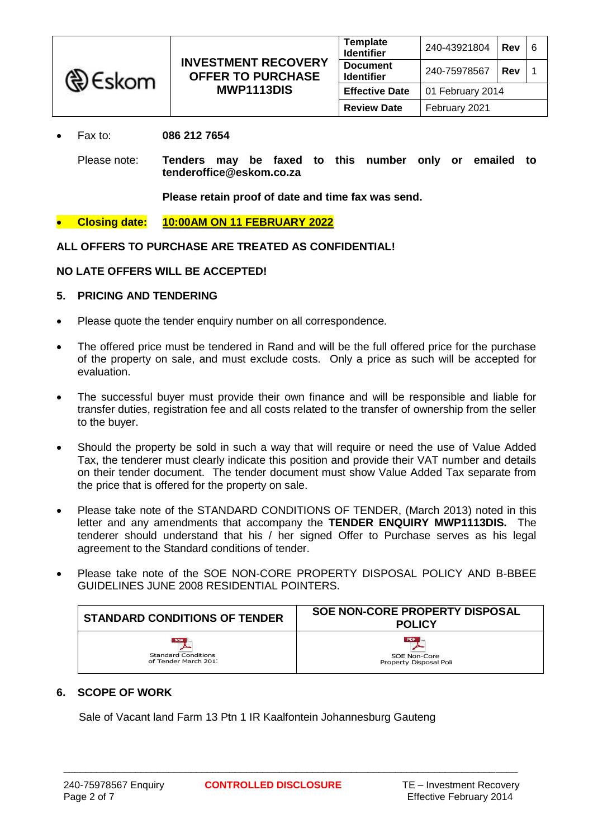| <b>৻</b> €skom | <b>INVESTMENT RECOVERY</b><br><b>OFFER TO PURCHASE</b><br>MWP1113DIS | <b>Template</b><br><b>Identifier</b> | 240-43921804     | l Rev | -6 |
|----------------|----------------------------------------------------------------------|--------------------------------------|------------------|-------|----|
|                |                                                                      | <b>Document</b><br><b>Identifier</b> | 240-75978567     | Rev   |    |
|                |                                                                      | <b>Effective Date</b>                | 01 February 2014 |       |    |
|                |                                                                      | <b>Review Date</b>                   | February 2021    |       |    |

### Fax to: **086 212 7654**

Please note: **Tenders may be faxed to this number only or emailed to tenderoffice@eskom.co.za**

**Please retain proof of date and time fax was send.**

**Closing date: 10:00AM ON 11 FEBRUARY 2022**

**ALL OFFERS TO PURCHASE ARE TREATED AS CONFIDENTIAL!**

### **NO LATE OFFERS WILL BE ACCEPTED!**

## **5. PRICING AND TENDERING**

- Please quote the tender enquiry number on all correspondence.
- The offered price must be tendered in Rand and will be the full offered price for the purchase of the property on sale, and must exclude costs. Only a price as such will be accepted for evaluation.
- The successful buyer must provide their own finance and will be responsible and liable for transfer duties, registration fee and all costs related to the transfer of ownership from the seller to the buyer.
- Should the property be sold in such a way that will require or need the use of Value Added Tax, the tenderer must clearly indicate this position and provide their VAT number and details on their tender document. The tender document must show Value Added Tax separate from the price that is offered for the property on sale.
- Please take note of the STANDARD CONDITIONS OF TENDER, (March 2013) noted in this letter and any amendments that accompany the **TENDER ENQUIRY MWP1113DIS.** The tenderer should understand that his / her signed Offer to Purchase serves as his legal agreement to the Standard conditions of tender.
- Please take note of the SOE NON-CORE PROPERTY DISPOSAL POLICY AND B-BBEE GUIDELINES JUNE 2008 RESIDENTIAL POINTERS.

| <b>STANDARD CONDITIONS OF TENDER</b>                       | SOE NON-CORE PROPERTY DISPOSAL<br><b>POLICY</b> |
|------------------------------------------------------------|-------------------------------------------------|
| PDF.<br><b>Standard Conditions</b><br>of Tender March 201. | PDF<br>SOE Non-Core<br>Property Disposal Poli   |

# **6. SCOPE OF WORK**

Sale of Vacant land Farm 13 Ptn 1 IR Kaalfontein Johannesburg Gauteng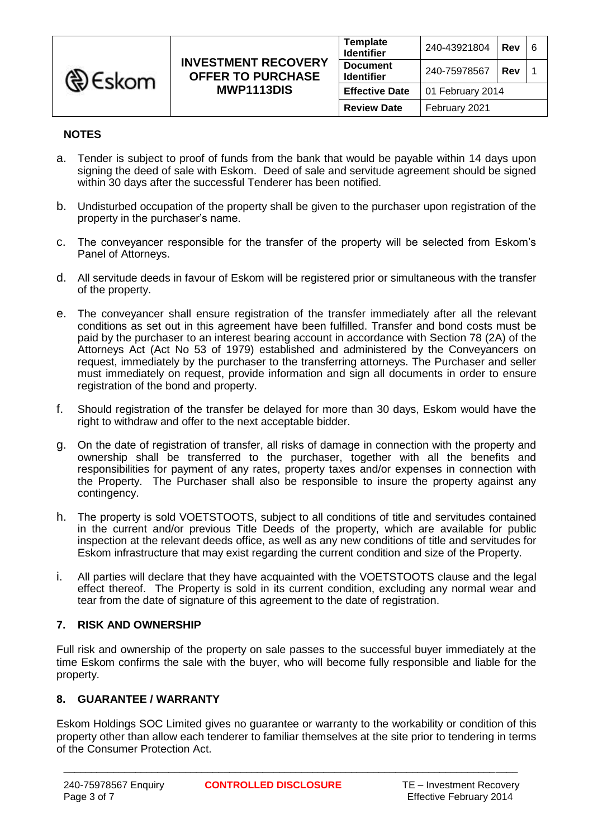

| <b>VERY</b><br><b>ASE</b> | <b>Template</b><br><b>Identifier</b> | 240-43921804     | Rev | 6 |
|---------------------------|--------------------------------------|------------------|-----|---|
|                           | <b>Document</b><br><b>Identifier</b> | 240-75978567     | Rev |   |
|                           | <b>Effective Date</b>                | 01 February 2014 |     |   |
|                           | <b>Review Date</b>                   | February 2021    |     |   |

## **NOTES**

- a. Tender is subject to proof of funds from the bank that would be payable within 14 days upon signing the deed of sale with Eskom. Deed of sale and servitude agreement should be signed within 30 days after the successful Tenderer has been notified.
- b. Undisturbed occupation of the property shall be given to the purchaser upon registration of the property in the purchaser's name.
- c. The conveyancer responsible for the transfer of the property will be selected from Eskom's Panel of Attorneys.
- d. All servitude deeds in favour of Eskom will be registered prior or simultaneous with the transfer of the property.
- e. The conveyancer shall ensure registration of the transfer immediately after all the relevant conditions as set out in this agreement have been fulfilled. Transfer and bond costs must be paid by the purchaser to an interest bearing account in accordance with Section 78 (2A) of the Attorneys Act (Act No 53 of 1979) established and administered by the Conveyancers on request, immediately by the purchaser to the transferring attorneys. The Purchaser and seller must immediately on request, provide information and sign all documents in order to ensure registration of the bond and property.
- f. Should registration of the transfer be delayed for more than 30 days, Eskom would have the right to withdraw and offer to the next acceptable bidder.
- g. On the date of registration of transfer, all risks of damage in connection with the property and ownership shall be transferred to the purchaser, together with all the benefits and responsibilities for payment of any rates, property taxes and/or expenses in connection with the Property. The Purchaser shall also be responsible to insure the property against any contingency.
- h. The property is sold VOETSTOOTS, subject to all conditions of title and servitudes contained in the current and/or previous Title Deeds of the property, which are available for public inspection at the relevant deeds office, as well as any new conditions of title and servitudes for Eskom infrastructure that may exist regarding the current condition and size of the Property.
- i. All parties will declare that they have acquainted with the VOETSTOOTS clause and the legal effect thereof. The Property is sold in its current condition, excluding any normal wear and tear from the date of signature of this agreement to the date of registration.

### **7. RISK AND OWNERSHIP**

Full risk and ownership of the property on sale passes to the successful buyer immediately at the time Eskom confirms the sale with the buyer, who will become fully responsible and liable for the property.

# **8. GUARANTEE / WARRANTY**

Eskom Holdings SOC Limited gives no guarantee or warranty to the workability or condition of this property other than allow each tenderer to familiar themselves at the site prior to tendering in terms of the Consumer Protection Act.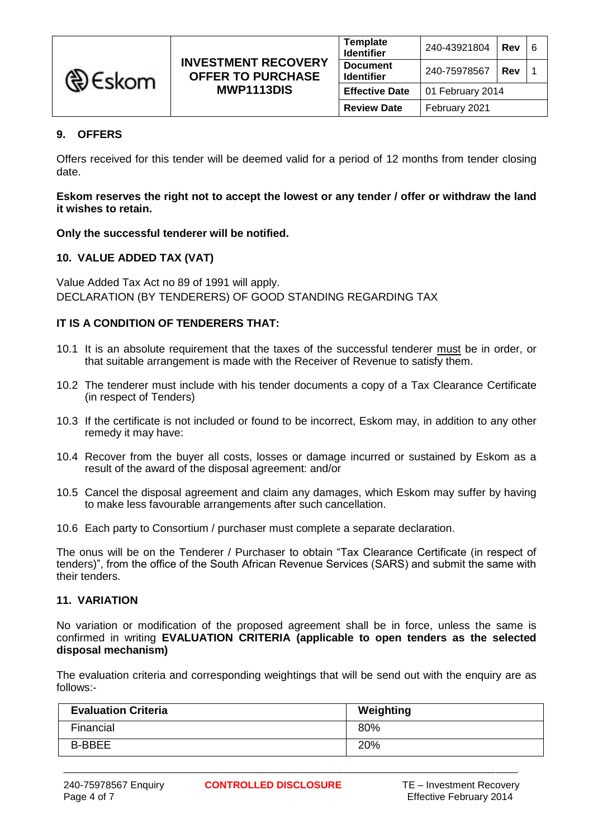| <b><i>A</i></b> Eskom |                                                        | <b>Template</b><br><b>Identifier</b> | 240-43921804     | Rev |  |
|-----------------------|--------------------------------------------------------|--------------------------------------|------------------|-----|--|
|                       | <b>INVESTMENT RECOVERY</b><br><b>OFFER TO PURCHASE</b> | <b>Document</b><br><b>Identifier</b> | 240-75978567     | Rev |  |
|                       | MWP1113DIS                                             | <b>Effective Date</b>                | 01 February 2014 |     |  |
|                       |                                                        | <b>Review Date</b>                   | February 2021    |     |  |

## **9. OFFERS**

Offers received for this tender will be deemed valid for a period of 12 months from tender closing date.

**Eskom reserves the right not to accept the lowest or any tender / offer or withdraw the land it wishes to retain.**

**Only the successful tenderer will be notified.**

### **10. VALUE ADDED TAX (VAT)**

Value Added Tax Act no 89 of 1991 will apply. DECLARATION (BY TENDERERS) OF GOOD STANDING REGARDING TAX

### **IT IS A CONDITION OF TENDERERS THAT:**

- 10.1 It is an absolute requirement that the taxes of the successful tenderer must be in order, or that suitable arrangement is made with the Receiver of Revenue to satisfy them.
- 10.2 The tenderer must include with his tender documents a copy of a Tax Clearance Certificate (in respect of Tenders)
- 10.3 If the certificate is not included or found to be incorrect, Eskom may, in addition to any other remedy it may have:
- 10.4 Recover from the buyer all costs, losses or damage incurred or sustained by Eskom as a result of the award of the disposal agreement: and/or
- 10.5 Cancel the disposal agreement and claim any damages, which Eskom may suffer by having to make less favourable arrangements after such cancellation.
- 10.6 Each party to Consortium / purchaser must complete a separate declaration.

The onus will be on the Tenderer / Purchaser to obtain "Tax Clearance Certificate (in respect of tenders)", from the office of the South African Revenue Services (SARS) and submit the same with their tenders.

### **11. VARIATION**

No variation or modification of the proposed agreement shall be in force, unless the same is confirmed in writing **EVALUATION CRITERIA (applicable to open tenders as the selected disposal mechanism)**

The evaluation criteria and corresponding weightings that will be send out with the enquiry are as follows:-

| <b>Evaluation Criteria</b> | Weighting |
|----------------------------|-----------|
| Financial                  | 80%       |
| <b>B-BBEE</b>              | 20%       |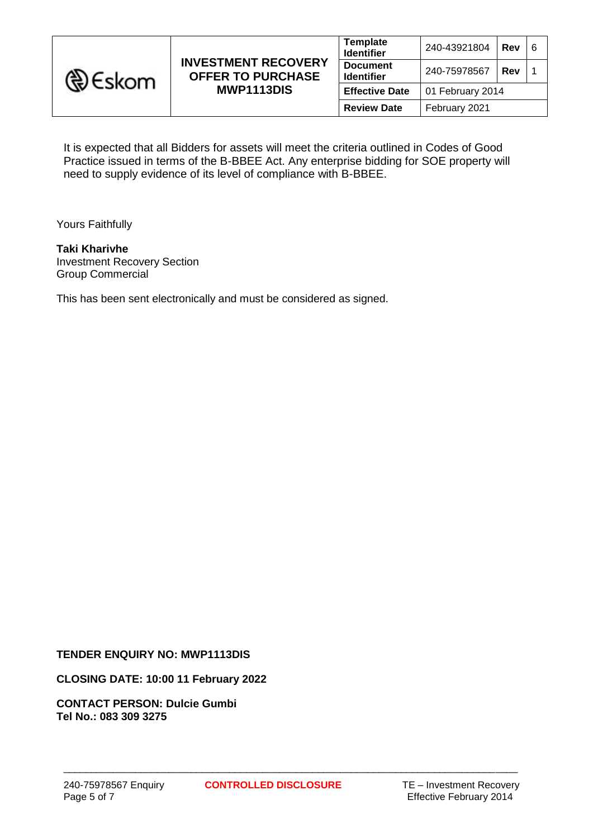

It is expected that all Bidders for assets will meet the criteria outlined in Codes of Good Practice issued in terms of the B-BBEE Act. Any enterprise bidding for SOE property will need to supply evidence of its level of compliance with B-BBEE.

Yours Faithfully

### **Taki Kharivhe** Investment Recovery Section

Group Commercial

This has been sent electronically and must be considered as signed.

### **TENDER ENQUIRY NO: MWP1113DIS**

### **CLOSING DATE: 10:00 11 February 2022**

**CONTACT PERSON: Dulcie Gumbi Tel No.: 083 309 3275**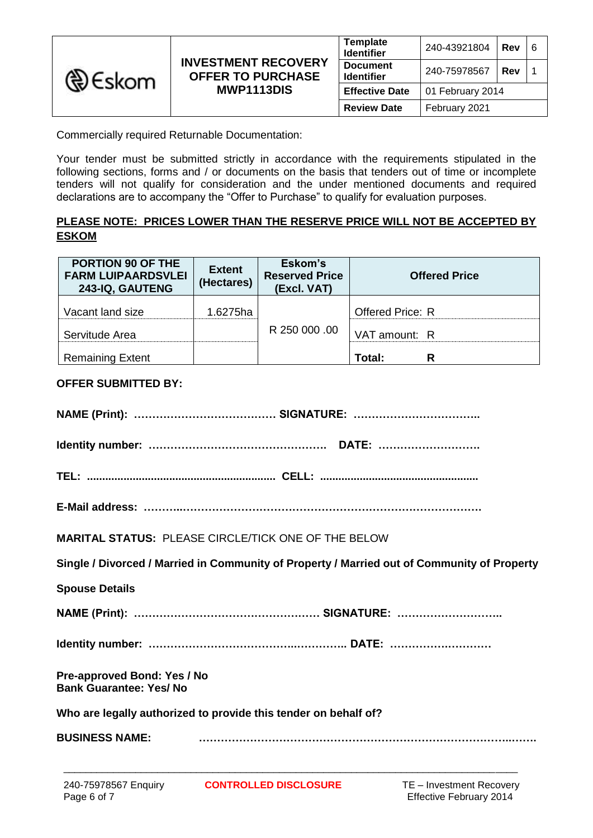| <b>A</b> Eskom | <b>Template</b><br><b>Identifier</b><br><b>INVESTMENT RECOVERY</b><br><b>Document</b><br><b>OFFER TO PURCHASE</b><br><b>Identifier</b><br><b>MWP1113DIS</b><br><b>Effective Date</b><br><b>Review Date</b> |              | 240-43921804     | <b>Rev</b> | l 6 |
|----------------|------------------------------------------------------------------------------------------------------------------------------------------------------------------------------------------------------------|--------------|------------------|------------|-----|
|                |                                                                                                                                                                                                            | 240-75978567 | <b>Rev</b>       |            |     |
|                |                                                                                                                                                                                                            |              | 01 February 2014 |            |     |
|                |                                                                                                                                                                                                            |              | February 2021    |            |     |

Commercially required Returnable Documentation:

Your tender must be submitted strictly in accordance with the requirements stipulated in the following sections, forms and / or documents on the basis that tenders out of time or incomplete tenders will not qualify for consideration and the under mentioned documents and required declarations are to accompany the "Offer to Purchase" to qualify for evaluation purposes.

# **PLEASE NOTE: PRICES LOWER THAN THE RESERVE PRICE WILL NOT BE ACCEPTED BY ESKOM**

| PORTION 90 OF THE<br><b>FARM LUIPAARDSVLEI</b><br>243-IQ, GAUTENG | <b>Extent</b><br>(Hectares) | Eskom's<br><b>Reserved Price</b><br>(Excl. VAT) | <b>Offered Price</b> |
|-------------------------------------------------------------------|-----------------------------|-------------------------------------------------|----------------------|
| Vacant land size                                                  | 1.6275ha                    |                                                 | Offered Price: R     |
| Servitude Area                                                    |                             | R 250 000 .00                                   | VAT amount: R        |
| <b>Remaining Extent</b>                                           |                             |                                                 | Total:<br>R          |

## **OFFER SUBMITTED BY:**

|                                                               | <b>MARITAL STATUS: PLEASE CIRCLE/TICK ONE OF THE BELOW</b>                                  |                                                            |
|---------------------------------------------------------------|---------------------------------------------------------------------------------------------|------------------------------------------------------------|
|                                                               | Single / Divorced / Married in Community of Property / Married out of Community of Property |                                                            |
| <b>Spouse Details</b>                                         |                                                                                             |                                                            |
|                                                               |                                                                                             |                                                            |
|                                                               |                                                                                             |                                                            |
| Pre-approved Bond: Yes / No<br><b>Bank Guarantee: Yes/ No</b> |                                                                                             |                                                            |
|                                                               | Who are legally authorized to provide this tender on behalf of?                             |                                                            |
| <b>BUSINESS NAME:</b>                                         |                                                                                             |                                                            |
| 240-75978567 Enquiry<br>Page 6 of 7                           | <b>CONTROLLED DISCLOSURE</b>                                                                | TE - Investment Recovery<br><b>Effective February 2014</b> |

**Effective February 2014**